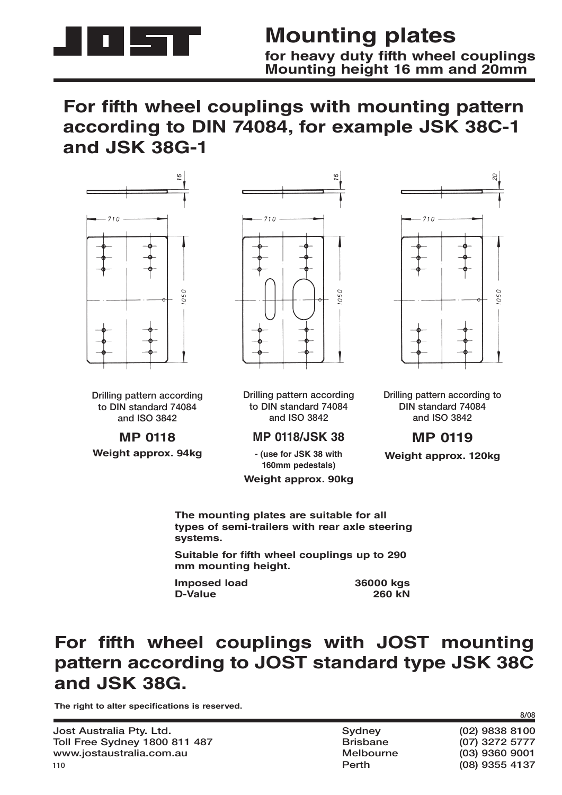

### **Mounting plates** for heavy duty fifth wheel couplings **Mounting height 16 mm and 20mm**

# For fifth wheel couplings with mounting pattern **according to DIN 74084, for example JSK 38C-1 and JSK 38G-1**



**Drilling pattern according to DIN standard 74084 and ISO 3842**

**MP 0118 Weight approx. 94kg**



**Drilling pattern according to DIN standard 74084 and ISO 3842**

#### **MP 0118/JSK 38**

**- (use for JSK 38 with 160mm pedestals)**

**Weight approx. 90kg**

 $-710 -$ 050

**Drilling pattern according to DIN standard 74084 and ISO 3842**

### **MP 0119**

**Weight approx. 120kg**

**The mounting plates are suitable for all types of semi-trailers with rear axle steering systems.**

**Suitable for fifth wheel couplings up to 290 mm mounting height.**

**Imposed load 68 and 36000 kgs**<br>D-Value 260 kN **D-Value** 

# For fifth wheel couplings with JOST mounting **pattern according to JOST standard type JSK 38C and JSK 38G.**

The right to alter specifications is reserved.

| Jost Australia Pty. Ltd.             |  |
|--------------------------------------|--|
| <b>Toll Free Sydney 1800 811 487</b> |  |
| www.jostaustralia.com.au             |  |
| 110                                  |  |

| Sydney    |  |
|-----------|--|
| Brisbane  |  |
| Melbourne |  |
| Perth     |  |

**Jost Australia Pty. Ltd. Sydney (02) 9838 8100 Toll Free Sydney 1800 811 487 Brisbane (07) 3272 5777 www.jostaustralia.com.au Melbourne (03) 9360 9001 Perth (08) 9355 4137**

**8/08**